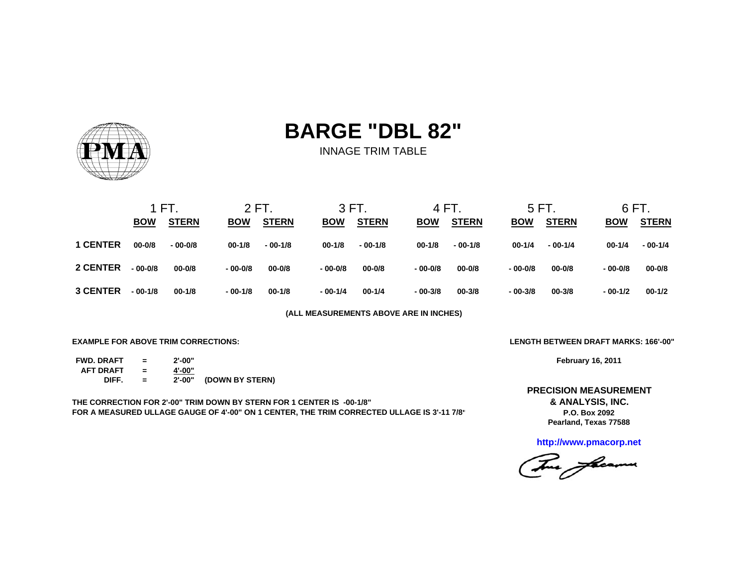

INNAGE TRIM TABLE

|                 | 1 FT        |              |            | 2 FT.        |            | 3 FT.        |             | 4 FT.        |            | 5 FT.        | 6 FT.      |              |  |
|-----------------|-------------|--------------|------------|--------------|------------|--------------|-------------|--------------|------------|--------------|------------|--------------|--|
|                 | <b>BOW</b>  | <b>STERN</b> | <b>BOW</b> | <b>STERN</b> | <b>BOW</b> | <b>STERN</b> | <b>BOW</b>  | <b>STERN</b> | <b>BOW</b> | <b>STERN</b> | <b>BOW</b> | <b>STERN</b> |  |
| <b>1 CENTER</b> | $00 - 0/8$  | $-00-0/8$    | $00 - 1/8$ | $-00-1/8$    | $00 - 1/8$ | $-00-1/8$    | $00-1/8$    | $-00-1/8$    | $00-1/4$   | $-00-1/4$    | $00 - 1/4$ | $-00-1/4$    |  |
| <b>2 CENTER</b> | $-00 - 0/8$ | $00 - 0/8$   | $-00-0/8$  | $00 - 0/8$   | $-00-0/8$  | $00 - 0/8$   | $-00 - 0/8$ | $00 - 0/8$   | $-00-0/8$  | $00 - 0/8$   | $-00-0/8$  | $00 - 0/8$   |  |
| <b>3 CENTER</b> | $-00-1/8$   | $00-1/8$     | $-00-1/8$  | $00 - 1/8$   | $-00-1/4$  | $00 - 1/4$   | $-00-3/8$   | $00 - 3/8$   | $-00-3/8$  | $00 - 3/8$   | $-00-1/2$  | $00 - 1/2$   |  |

**(ALL MEASUREMENTS ABOVE ARE IN INCHES)**

**EXAMPLE FOR ABOVE TRIM CORRECTIONS:**

| <b>FWD. DRAFT</b> |     | $2' - 00"$ |                 |
|-------------------|-----|------------|-----------------|
| <b>AFT DRAFT</b>  | $=$ | 4'-00"     |                 |
| DIFF.             |     | 2'-00"     | (DOWN BY STERN) |

**THE CORRECTION FOR 2'-00" TRIM DOWN BY STERN FOR 1 CENTER IS -00-1/8" FOR A MEASURED ULLAGE GAUGE OF 4'-00" ON 1 CENTER, THE TRIM CORRECTED ULLAGE IS 3'-11 7/8"** **LENGTH BETWEEN DRAFT MARKS: 166'-00"**

**February 16, 2011**

**Pearland, Texas 77588 & ANALYSIS, INC. P.O. Box 2092PRECISION MEASUREMENT**

**http://www.pmacorp.net**

The freems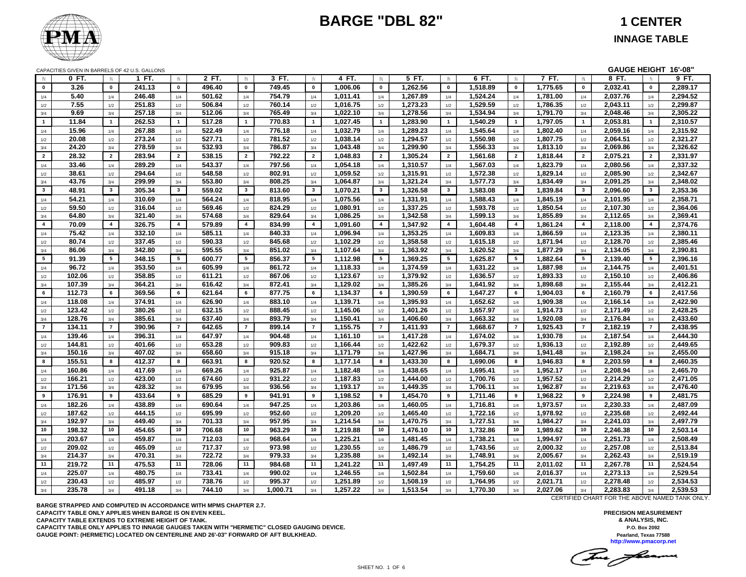

|                         | CAPACITIES GIVEN IN BARRELS OF 42 U.S. GALLONS |                         |                  |                 |                  |                |                  |                         |                      |                         |                      |                |                      |                         |                      |                 | GAUGE HEIGHT 16'-08" |                 |                      |
|-------------------------|------------------------------------------------|-------------------------|------------------|-----------------|------------------|----------------|------------------|-------------------------|----------------------|-------------------------|----------------------|----------------|----------------------|-------------------------|----------------------|-----------------|----------------------|-----------------|----------------------|
| IN                      | 0 FT.                                          | IN                      | 1 FT.            | $\mathbb{N}$    | 2 FT.            | $\mathbb{N}$   | $3$ FT.          | IN                      | 4 FT.                | $\mathsf{I}$ N          | 5 FT.                | IN             | 6 FT.                | $\mathbb{N}$            | 7 FT.                | IN              | 8 FT.                | IN              | 9 FT.                |
| $\pmb{0}$               | 3.26                                           | $\pmb{0}$               | 241.13           | $\pmb{0}$       | 496.40           | $\pmb{0}$      | 749.45           | $\pmb{0}$               | 1,006.06             | $\pmb{0}$               | 1,262.56             | $\pmb{0}$      | 1,518.89             | $\pmb{0}$               | 1,775.65             | $\pmb{0}$       | 2,032.41             | $\mathbf 0$     | 2,289.17             |
| 1/4                     | 5.40                                           | 1/4                     | 246.48           | 1/4             | 501.62           | 1/4            | 754.79           | 1/4                     | 1,011.41             | 1/4                     | 1,267.89             | 1/4            | 1,524.24             | 1/4                     | 1,781.00             | 1/4             | 2,037.76             | 1/4             | 2,294.52             |
| 1/2                     | 7.55                                           | 1/2                     | 251.83           | 1/2             | 506.84           | 1/2            | 760.14           | 1/2                     | 1.016.75             | 1/2                     | 1,273.23             | 1/2            | 1,529.59             | 1/2                     | 1.786.35             | 1/2             | 2,043.11             | 1/2             | 2.299.87             |
| 3/4                     | 9.69                                           | 3/4                     | 257.18           | 3/4             | 512.06           | 3/4            | 765.49           | 3/4                     | 1,022.10             | 3/4                     | 1,278.56             | 3/4            | 1,534.94             | 3/4                     | 1,791.70             | 3/4             | 2,048.46             | 3/4             | 2,305.22             |
| $\blacksquare$          | 11.84                                          | $\overline{1}$          | 262.53           | $\overline{1}$  | 517.28           | $\mathbf{1}$   | 770.83           | $\overline{1}$          | 1,027.45             | $\mathbf{1}$            | 1,283.90             | $\overline{1}$ | 1,540.29             | $\mathbf{1}$            | 1,797.05             | $\overline{1}$  | 2,053.81             | $\mathbf{1}$    | 2,310.57             |
| 1/4                     | 15.96                                          | 1/4                     | 267.88           | 1/4             | 522.49           | 1/4            | 776.18           | 1/4                     | 1,032.79             | 1/4                     | 1,289.23             | 1/4            | 1,545.64             | 1/4                     | 1,802.40             | 1/4             | 2,059.16             | 1/4             | 2,315.92             |
| 1/2                     | 20.08                                          | 1/2                     | 273.24           | 1/2             | 527.71           | 1/2            | 781.52           | 1/2                     | 1,038.14             | 1/2                     | 1,294.57             | 1/2            | 1,550.98             | 1/2                     | 1,807.75             | 1/2             | 2,064.51             | 1/2             | 2,321.27             |
| 3/4                     | 24.20                                          | 3/4                     | 278.59           | 3/4             | 532.93           | 3/4            | 786.87           | 3/4                     | 1,043.48             | 3/4                     | 1,299.90             | 3/4            | 1,556.33             | 3/4                     | 1,813.10             | 3/4             | 2,069.86             | 3/4             | 2,326.62             |
| $\overline{2}$          | 28.32                                          | $\overline{2}$          | 283.94           | $\overline{2}$  | 538.15           | $\overline{2}$ | 792.22           | $\overline{2}$          | 1.048.83             | $\overline{2}$          | 1.305.24             | $\overline{2}$ | 1.561.68             | $\overline{2}$          | 1.818.44             | $\overline{2}$  | 2,075.21             | $\overline{2}$  | 2,331.97             |
| 1/4                     | 33.46                                          | 1/4                     | 289.29           | 1/4             | 543.37           | 1/4            | 797.56           | 1/4                     | 1,054.18             | 1/4                     | 1,310.57             | 1/4            | 1,567.03             | 1/4                     | 1,823.79             | 1/4             | 2,080.56             | 1/4             | 2,337.32             |
| 1/2                     | 38.61                                          | 1/2                     | 294.64           | 1/2             | 548.58           | 1/2            | 802.91           | 1/2                     | 1,059.52             | 1/2                     | 1,315.91             | 1/2            | 1,572.38             | 1/2                     | 1,829.14             | 1/2             | 2,085.90             | 1/2             | 2,342.67             |
| 3/4                     | 43.76                                          | 3/4                     | 299.99           | 3/4             | 553.80           | 3/4            | 808.25           | 3/4                     | 1,064.87             | 3/4                     | 1,321.24             | 3/4            | 1,577.73             | 3/4                     | 1,834.49             | 3/4             | 2,091.25             | 3/4             | 2,348.02             |
| $\overline{\mathbf{3}}$ | 48.91                                          | $\mathbf{3}$            | 305.34           | $\mathbf{3}$    | 559.02           | $3^{\circ}$    | 813.60           | $\overline{\mathbf{3}}$ | 1,070.21             | $\mathbf{3}$            | 1,326.58             | $\mathbf{3}$   | 1,583.08             | $\mathbf{3}$            | 1,839.84             | $\mathbf{3}$    | 2,096.60             | $\mathbf{3}$    | 2,353.36             |
| 1/4                     | 54.21                                          | 1/4                     | 310.69           | 1/4             | 564.24           | 1/4            | 818.95           | 1/4                     | 1,075.56             | 1/4                     | 1,331.91             | 1/4            | 1,588.43             | 1/4                     | 1,845.19             | 1/4             | 2,101.95             | 1/4             | 2,358.71             |
| $1/2$                   | 59.50                                          | 1/2                     | 316.04           | 1/2             | 569.46           | 1/2            | 824.29           | 1/2                     | 1,080.91             | 1/2                     | 1,337.25             | 1/2            | 1,593.78             | 1/2                     | 1,850.54             | 1/2             | 2,107.30             | 1/2             | 2,364.06             |
| 3/4                     | 64.80                                          | 3/4                     | 321.40           | 3/4             | 574.68           | 3/4            | 829.64           | 3/4                     | 1,086.25             | 3/4                     | 1,342.58             | 3/4            | 1,599.13             | 3/4                     | 1,855.89             | 3/4             | 2,112.65             | 3/4             | 2,369.41             |
| $\overline{4}$          | 70.09                                          | $\overline{\mathbf{4}}$ | 326.75           | $\overline{4}$  | 579.89           | $\overline{4}$ | 834.99           | $\overline{4}$          | 1,091.60             | $\overline{\mathbf{4}}$ | 1,347.92             | $\overline{4}$ | 1,604.48             | $\overline{\mathbf{4}}$ | 1,861.24             | $\overline{4}$  | 2,118.00             | $\overline{4}$  | 2,374.76             |
| 1/4                     | 75.42                                          | 1/4                     | 332.10           | 1/4             | 585.11           | 1/4            | 840.33           | 1/4                     | 1,096.94             | 1/4                     | 1,353.25             | 1/4            | 1,609.83             | 1/4                     | 1,866.59             | 1/4             | 2,123.35             | 1/4             | 2,380.11             |
| 1/2                     | 80.74                                          | 1/2                     | 337.45           | 1/2             | 590.33           | 1/2            | 845.68           | 1/2                     | 1,102.29             | 1/2                     | 1,358.58             | 1/2            | 1,615.18             | 1/2                     | 1,871.94             | 1/2             | 2,128.70             | 1/2             | 2,385.46             |
| 3/4                     | 86.06                                          | 3/4                     | 342.80           | 3/4             | 595.55           | 3/4            | 851.02           | 3/4                     | 1,107.64             | 3/4                     | 1,363.92             | 3/4            | 1,620.52             | 3/4                     | 1,877.29             | 3/4             | 2,134.05             | 3/4             | 2,390.81             |
| 5                       | 91.39                                          | $5^{\circ}$             | 348.15           | $5\phantom{.0}$ | 600.77           | 5 <sub>5</sub> | 856.37           | $5\overline{5}$         | 1,112.98             | 5 <sub>5</sub>          | 1,369.25             | 5              | 1,625.87             | $5\phantom{.0}$         | 1,882.64             | $5\phantom{.0}$ | 2,139.40             | $5\phantom{.0}$ | 2,396.16             |
| 1/4                     | 96.72                                          | 1/4                     | 353.50           | 1/4             | 605.99           | 1/4            | 861.72           | 1/4                     | 1,118.33             | 1/4                     | 1,374.59             | 1/4            | 1,631.22             | 1/4                     | 1,887.98             | 1/4             | 2,144.75             | 1/4             | 2,401.51             |
| 1/2                     | 102.06                                         | 1/2                     | 358.85           | 1/2             | 611.21           | 1/2            | 867.06           | 1/2                     | 1,123.67             | 1/2                     | 1,379.92             | 1/2            | 1,636.57             | 1/2                     | 1,893.33             | 1/2             | 2,150.10             | 1/2             | 2,406.86             |
| 3/4                     | 107.39                                         | 3/4                     | 364.21           | 3/4             | 616.42           | 3/4            | 872.41           | 3/4                     | 1,129.02             | 3/4                     | 1,385.26             | 3/4            | 1,641.92             | 3/4                     | 1,898.68             | 3/4             | 2,155.44             | 3/4             | 2,412.21             |
| 6                       | 112.73                                         | 6                       | 369.56           | 6               | 621.64           | 6              | 877.75           | 6                       | 1,134.37             | 6                       | 1,390.59             | 6              | 1,647.27             | 6                       | 1,904.03             | 6               | 2,160.79             | 6               | 2,417.56             |
| 1/4                     | 118.08                                         | 1/4                     | 374.91           | $1/4$           | 626.90           | 1/4            | 883.10           | 1/4                     | 1,139.71             | 1/4                     | 1,395.93             | $1/4$          | 1,652.62             | $1/4$                   | 1,909.38             | $1/4$           | 2,166.14             | $1/4$           | 2,422.90             |
| 1/2                     | 123.42                                         | 1/2                     | 380.26           | 1/2             | 632.15           | 1/2            | 888.45           | 1/2                     | 1,145.06             | 1/2                     | 1,401.26             | 1/2            | 1,657.97             | 1/2                     | 1,914.73             | 1/2             | 2,171.49             | 1/2             | 2,428.25             |
| 3/4                     | 128.76                                         | 3/4                     | 385.61           | 3/4             | 637.40           | 3/4            | 893.79           | 3/4                     | 1,150.41             | 3/4                     | 1,406.60             | 3/4            | 1,663.32             | 3/4                     | 1,920.08             | 3/4             | 2,176.84             | 3/4             | 2,433.60             |
| $\overline{7}$          | 134.11                                         | $\overline{7}$          | 390.96           | $\overline{7}$  | 642.65           | $\overline{7}$ | 899.14           | $\overline{7}$          | 1,155.75             | $\overline{7}$          | 1,411.93             | $\overline{7}$ | 1,668.67             | $\overline{7}$          | 1,925.43             | $\overline{7}$  | 2,182.19             | $\overline{7}$  | 2,438.95             |
| 1/4                     | 139.46                                         | 1/4                     | 396.31           | 1/4             | 647.97           | 1/4            | 904.48           | 1/4                     | 1,161.10             | 1/4                     | 1,417.28             | 1/4            | 1,674.02             | 1/4                     | 1,930.78             | 1/4             | 2,187.54             | 1/4             | 2,444.30             |
| 1/2                     | 144.81                                         | 1/2                     | 401.66           | 1/2             | 653.28           | 1/2            | 909.83           | 1/2                     | 1,166.44             | 1/2                     | 1.422.62             | 1/2            | 1,679.37             | 1/2                     | 1,936.13             | 1/2             | 2,192.89             | 1/2             | 2.449.65             |
| 3/4                     | 150.16                                         | 3/4<br>8                | 407.02           | 3/4<br>8        | 658.60           | 3/4<br>8       | 915.18           | 3/4<br>8                | 1,171.79             | 3/4<br>8                | 1,427.96             | 3/4<br>8       | 1,684.71             | 3/4<br>8                | 1,941.48             | 3/4<br>8        | 2,198.24             | 3/4<br>8        | 2,455.00             |
| 8                       | 155.51                                         |                         | 412.37           |                 | 663.91           |                | 920.52           |                         | 1,177.14             |                         | 1,433.30             |                | 1,690.06             |                         | 1,946.83             |                 | 2,203.59             |                 | 2,460.35             |
| 1/4                     | 160.86                                         | 1/4                     | 417.69           | 1/4             | 669.26           | 1/4            | 925.87           | 1/4                     | 1,182.48             | 1/4                     | 1,438.65             | 1/4            | 1,695.41             | 1/4                     | 1,952.17             | 1/4             | 2,208.94             | 1/4             | 2,465.70             |
| 1/2                     | 166.21<br>171.56                               | 1/2<br>3/4              | 423.00<br>428.32 | 1/2<br>3/4      | 674.60<br>679.95 | 1/2            | 931.22<br>936.56 | 1/2<br>3/4              | 1,187.83<br>1,193.17 | 1/2                     | 1,444.00<br>1,449.35 | 1/2<br>3/4     | 1,700.76<br>1,706.11 | 1/2                     | 1,957.52<br>1,962.87 | 1/2<br>3/4      | 2,214.29<br>2,219.63 | 1/2             | 2,471.05<br>2,476.40 |
| 3/4<br>9                | 176.91                                         | 9                       | 433.64           | 9               | 685.29           | 3/4<br>9       | 941.91           | 9                       | 1,198.52             | 3/4<br>9                | 1,454.70             | 9              | 1,711.46             | 3/4<br>9                | 1,968.22             | 9               | 2.224.98             | 3/4<br>9        | 2,481.75             |
|                         | 182.26                                         |                         | 438.89           |                 | 690.64           |                | 947.25           |                         | 1,203.86             |                         | 1,460.05             |                | 1,716.81             |                         | 1,973.57             |                 | 2,230.33             |                 | 2,487.09             |
| 1/4                     | 187.62                                         | 1/4<br>1/2              | 444.15           | 1/4<br>1/2      | 695.99           | 1/4            | 952.60           | 1/4<br>1/2              | 1,209.20             | 1/4<br>1/2              | 1,465.40             | $1/4$<br>1/2   | 1,722.16             | 1/4<br>1/2              | 1,978.92             | 1/4<br>1/2      | 2,235.68             | 1/4<br>1/2      | 2,492.44             |
| 1/2<br>3/4              | 192.97                                         | 3/4                     | 449.40           | 3/4             | 701.33           | 1/2<br>3/4     | 957.95           | 3/4                     | 1,214.54             | 3/4                     | 1,470.75             | $3/4$          | 1,727.51             | $3/4\,$                 | 1,984.27             | $3/4$           | 2,241.03             | 3/4             | 2,497.79             |
| 10                      | 198.32                                         | 10                      | 454.65           | 10              | 706.68           | 10             | 963.29           | 10                      | 1,219.88             | 10                      | 1,476.10             | 10             | 1,732.86             | 10                      | 1,989.62             | 10              | 2,246.38             | 10              | 2,503.14             |
|                         | 203.67                                         | 1/4                     | 459.87           | 1/4             | 712.03           | 1/4            | 968.64           | 1/4                     | 1,225.21             | 1/4                     | 1,481.45             | 1/4            | 1,738.21             | 1/4                     | 1,994.97             | 1/4             | 2,251.73             | 1/4             | 2,508.49             |
| 1/4<br>1/2              | 209.02                                         | 1/2                     | 465.09           | 1/2             | 717.37           | 1/2            | 973.98           | 1/2                     | 1,230.55             | 1/2                     | 1,486.79             | 1/2            | 1,743.56             | 1/2                     | 2,000.32             | 1/2             | 2,257.08             | 1/2             | 2,513.84             |
| 3/4                     | 214.37                                         | 3/4                     | 470.31           | 3/4             | 722.72           | 3/4            | 979.33           | 3/4                     | 1,235.88             | 3/4                     | 1,492.14             | 3/4            | 1,748.91             | 3/4                     | 2,005.67             | 3/4             | 2,262.43             | 3/4             | 2,519.19             |
| 11                      | 219.72                                         | 11                      | 475.53           | 11              | 728.06           | 11             | 984.68           | 11                      | 1,241.22             | 11                      | 1,497.49             | 11             | 1,754.25             | 11                      | 2,011.02             | 11              | 2,267.78             | 11              | 2,524.54             |
| 1/4                     | 225.07                                         | 1/4                     | 480.75           | 1/4             | 733.41           | 1/4            | 990.02           | 1/4                     | 1,246.55             | 1/4                     | 1,502.84             | 1/4            | 1,759.60             | 1/4                     | 2,016.37             | 1/4             | 2,273.13             | 1/4             | 2,529.54             |
| 1/2                     | 230.43                                         | 1/2                     | 485.97           | 1/2             | 738.76           | 1/2            | 995.37           | 1/2                     | 1,251.89             | 1/2                     | 1,508.19             | 1/2            | 1,764.95             | 1/2                     | 2,021.71             | 1/2             | 2,278.48             | 1/2             | 2,534.53             |
| 3/4                     | 235.78                                         | 3/4                     | 491.18           | 3/4             | 744.10           | 3/4            | 1,000.71         | 3/4                     | 1,257.22             | 3/4                     | 1,513.54             | 3/4            | 1,770.30             | 3/4                     | 2,027.06             | 3/4             | 2,283.83             | 3/4             | 2,539.53             |
|                         |                                                |                         |                  |                 |                  |                |                  |                         |                      |                         |                      |                |                      |                         |                      |                 |                      |                 |                      |

**BARGE STRAPPED AND COMPUTED IN ACCORDANCE WITH MPMS CHAPTER 2.7. CAPACITY TABLE ONLY APPLIES WHEN BARGE IS ON EVEN KEEL. CAPACITY TABLE EXTENDS TO EXTREME HEIGHT OF TANK.**

**CAPACITY TABLE ONLY APPLIES TO INNAGE GAUGES TAKEN WITH "HERMETIC" CLOSED GAUGING DEVICE. GAUGE POINT: (HERMETIC) LOCATED ON CENTERLINE AND 26'-03" FORWARD OF AFT BULKHEAD.**

CERTIFIED CHART FOR THE ABOVE NAMED TANK ONLY.

**http://www.pmacorp.net Pearland, Texas 77588 PRECISION MEASUREMENT & ANALYSIS, INC. P.O. Box 2092**

The freeman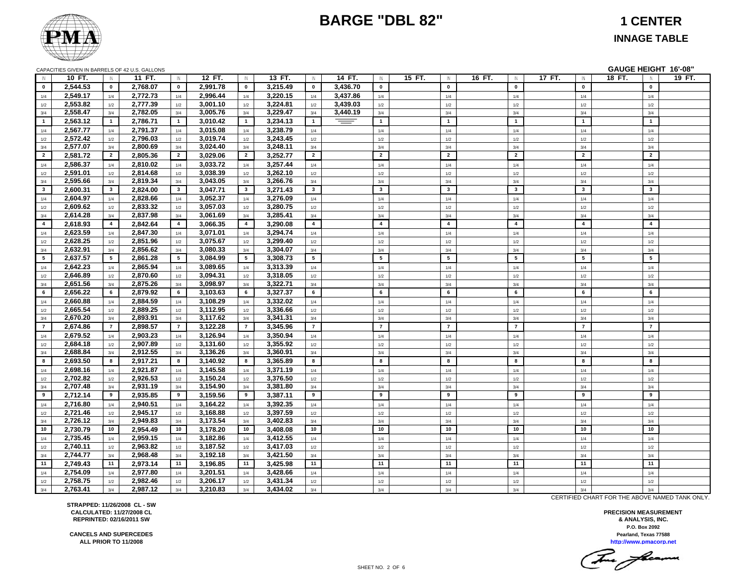

**1 CENTER**

#### **INNAGE TABLE**

CALLONS

|                | CAPACITIES GIVEN IN BARRELS OF 42 U.S. GALLONS |                |          |                |          |                         |                      |                 |          |                         |                                |                         |                         |        | GAUGE HEIGHT 16'-08" |
|----------------|------------------------------------------------|----------------|----------|----------------|----------|-------------------------|----------------------|-----------------|----------|-------------------------|--------------------------------|-------------------------|-------------------------|--------|----------------------|
| - IN           | 10 FT.                                         | IN             | 11 FT.   | IN             | 12 FT.   | IN                      | 13 FT.               | IN              | 14 FT.   | IN                      | 15 FT.<br>IN                   | 16 FT.<br>IN            | 17 FT.<br>IN            | 18 FT. | 19 FT.<br>IN         |
| $\mathbf{0}$   | 2,544.53                                       | $\mathbf 0$    | 2,768.07 | $\mathbf 0$    | 2,991.78 | $\mathbf 0$             | 3,215.49             | $\mathbf 0$     | 3,436.70 | $\mathbf{0}$            | $\mathbf 0$                    | $\pmb{0}$               | $\mathbf 0$             |        | $\mathbf 0$          |
| 1/4            | 2.549.17                                       | 1/4            | 2,772.73 | 1/4            | 2,996.44 | 1/4                     | 3.220.15             | 1/4             | 3.437.86 | 1/4                     | 1/4                            | 1/4                     | 1/4                     |        | 1/4                  |
| 1/2            | 2,553.82                                       | 1/2            | 2,777.39 | 1/2            | 3,001.10 | 1/2                     | 3,224.81             | 1/2             | 3,439.03 | 1/2                     | 1/2                            | 1/2                     | 1/2                     |        | 1/2                  |
| 3/4            | 2,558.47                                       | 3/4            | 2,782.05 | 3/4            | 3,005.76 | 3/4                     | 3,229.47             | 3/4             | 3,440.19 | 3/4                     | 3/4                            | 3/4                     | 3/4                     |        | 3/4                  |
| $\overline{1}$ | 2,563.12                                       | $\mathbf{1}$   | 2,786.71 | $\mathbf{1}$   | 3,010.42 | $\mathbf{1}$            | 3,234.13             | $\mathbf{1}$    | $\equiv$ | $\overline{1}$          | $\overline{1}$                 | $\overline{1}$          | $\mathbf{1}$            |        | $\mathbf{1}$         |
| 1/4            | 2,567.77                                       | 1/4            | 2,791.37 | 1/4            | 3,015.08 | 1/4                     | 3,238.79             | 1/4             |          | 1/4                     | 1/4                            | 1/4                     | 1/4                     |        | 1/4                  |
| 1/2            | 2,572.42                                       | 1/2            | 2,796.03 | 1/2            | 3,019.74 | 1/2                     | 3,243.45             | 1/2             |          | 1/2                     | 1/2                            | 1/2                     | 1/2                     |        | 1/2                  |
| 3/4            | 2,577.07                                       | 3/4            | 2,800.69 | 3/4            | 3,024.40 | 3/4                     | 3,248.11             | 3/4             |          | 3/4                     | 3/4                            | 3/4                     | 3/4                     |        | 3/4                  |
| $\overline{2}$ | 2,581.72                                       | $\overline{2}$ | 2,805.36 | $\overline{2}$ | 3,029.06 | $\overline{2}$          | 3,252.77             | $\overline{2}$  |          | $\overline{2}$          | $\overline{2}$                 | $\overline{2}$          | $\overline{2}$          |        | $\overline{2}$       |
|                | 2,586.37                                       |                | 2,810.02 |                | 3,033.72 |                         | 3,257.44             |                 |          |                         |                                |                         |                         |        |                      |
| 1/4            |                                                | 1/4            |          | 1/4            |          | 1/4                     |                      | 1/4             |          | 1/4                     | 1/4                            | 1/4                     | 1/4                     |        | 1/4                  |
| 1/2            | 2,591.01                                       | 1/2            | 2,814.68 | 1/2            | 3,038.39 | 1/2                     | 3,262.10<br>3,266.76 | 1/2             |          | 1/2                     | 1/2                            | 1/2                     | 1/2                     |        | 1/2                  |
| 3/4            | 2,595.66                                       | 3/4            | 2,819.34 | 3/4            | 3,043.05 | 3/4                     |                      | 3/4             |          | 3/4                     | 3/4<br>$\overline{\mathbf{3}}$ | 3/4                     | 3/4                     |        | 3/4                  |
| $3^{\circ}$    | 2,600.31                                       | $3^{\circ}$    | 2,824.00 | 3              | 3,047.71 | $\mathbf{3}$            | 3,271.43             | $\mathbf{3}$    |          | $\mathbf{3}$            |                                | $\mathbf{3}$            | $\overline{\mathbf{3}}$ |        | $\mathbf{3}$         |
| 1/4            | 2,604.97                                       | 1/4            | 2,828.66 | 1/4            | 3,052.37 | 1/4                     | 3,276.09             | 1/4             |          | 1/4                     | 1/4                            | 1/4                     | 1/4                     |        | 1/4                  |
| 1/2            | 2,609.62                                       | 1/2            | 2,833.32 | 1/2            | 3,057.03 | 1/2                     | 3,280.75             | 1/2             |          | 1/2                     | 1/2                            | 1/2                     | 1/2                     |        | 1/2                  |
| 3/4            | 2,614.28                                       | 3/4            | 2,837.98 | 3/4            | 3,061.69 | 3/4                     | 3,285.41             | 3/4             |          | 3/4                     | 3/4                            | 3/4                     | 3/4                     |        | 3/4                  |
| $\overline{4}$ | 2,618.93                                       | $\overline{4}$ | 2,842.64 | $\overline{4}$ | 3,066.35 | $\overline{\mathbf{4}}$ | 3,290.08             | $\overline{4}$  |          | $\overline{\mathbf{4}}$ | $\overline{4}$                 | $\overline{\mathbf{4}}$ | $\overline{\mathbf{4}}$ |        | $\overline{4}$       |
| 1/4            | 2,623.59                                       | 1/4            | 2,847.30 | 1/4            | 3,071.01 | 1/4                     | 3,294.74             | 1/4             |          | 1/4                     | 1/4                            | 1/4                     | 1/4                     |        | 1/4                  |
| 1/2            | 2,628.25                                       | 1/2            | 2,851.96 | 1/2            | 3,075.67 | 1/2                     | 3,299.40             | 1/2             |          | 1/2                     | 1/2                            | 1/2                     | 1/2                     |        | 1/2                  |
| 3/4            | 2,632.91                                       | 3/4            | 2,856.62 | 3/4            | 3,080.33 | 3/4                     | 3,304.07             | 3/4             |          | 3/4                     | 3/4                            | 3/4                     | 3/4                     |        | 3/4                  |
| $5^{\circ}$    | 2,637.57                                       | $5^{\circ}$    | 2,861.28 | $5^{\circ}$    | 3,084.99 | $5\phantom{.0}$         | 3,308.73             | $5\overline{5}$ |          | 5                       | $5\phantom{a}$                 | $5\phantom{.0}$         | $5\phantom{a}$          |        | 5                    |
| 1/4            | 2,642.23                                       | 1/4            | 2,865.94 | 1/4            | 3,089.65 | 1/4                     | 3,313.39             | 1/4             |          | 1/4                     | 1/4                            | 1/4                     | 1/4                     |        | 1/4                  |
| 1/2            | 2,646.89                                       | 1/2            | 2,870.60 | 1/2            | 3,094.31 | 1/2                     | 3,318.05             | 1/2             |          | 1/2                     | 1/2                            | 1/2                     | 1/2                     |        | 1/2                  |
| 3/4            | 2,651.56                                       | 3/4            | 2,875.26 | 3/4            | 3,098.97 | 3/4                     | 3,322.71             | 3/4             |          | 3/4                     | 3/4                            | 3/4                     | 3/4                     |        | 3/4                  |
| 6              | 2,656.22                                       | 6              | 2,879.92 | 6              | 3,103.63 | 6                       | 3,327.37             | $6\phantom{.0}$ |          | 6                       | 6                              | 6                       | 6                       |        | 6                    |
| 1/4            | 2,660.88                                       | 1/4            | 2,884.59 | 1/4            | 3,108.29 | 1/4                     | 3,332.02             | 1/4             |          | 1/4                     | 1/4                            | 1/4                     | 1/4                     |        | 1/4                  |
| 1/2            | 2,665.54                                       | 1/2            | 2,889.25 | 1/2            | 3,112.95 | 1/2                     | 3,336.66             | 1/2             |          | 1/2                     | 1/2                            | 1/2                     | 1/2                     |        | 1/2                  |
| 3/4            | 2,670.20                                       | 3/4            | 2,893.91 | 3/4            | 3,117.62 | 3/4                     | 3,341.31             | 3/4             |          | 3/4                     | 3/4                            | 3/4                     | 3/4                     |        | 3/4                  |
| $\overline{7}$ | 2,674.86                                       | $\overline{7}$ | 2,898.57 | $\overline{7}$ | 3,122.28 | $\overline{7}$          | 3,345.96             | $\overline{7}$  |          | $\overline{7}$          | $\overline{7}$                 | $\overline{7}$          | $\overline{7}$          |        | $\overline{7}$       |
| 1/4            | 2,679.52                                       | 1/4            | 2,903.23 | 1/4            | 3,126.94 | 1/4                     | 3,350.94             | 1/4             |          | 1/4                     | $1/4$                          | 1/4                     | 1/4                     |        | 1/4                  |
| 1/2            | 2,684.18                                       | 1/2            | 2,907.89 | 1/2            | 3,131.60 | 1/2                     | 3,355.92             | 1/2             |          | 1/2                     | 1/2                            | 1/2                     | 1/2                     |        | 1/2                  |
| 3/4            | 2,688.84                                       | 3/4            | 2,912.55 | 3/4            | 3,136.26 | 3/4                     | 3,360.91             | 3/4             |          | 3/4                     | 3/4                            | 3/4                     | 3/4                     |        | 3/4                  |
| 8              | 2,693.50                                       | 8              | 2,917.21 | 8              | 3,140.92 | 8                       | 3,365.89             | 8               |          | 8                       | 8                              | 8                       | 8                       |        | 8                    |
| 1/4            | 2,698.16                                       | 1/4            | 2,921.87 | 1/4            | 3,145.58 | 1/4                     | 3,371.19             | 1/4             |          | 1/4                     | 1/4                            | 1/4                     | 1/4                     |        | 1/4                  |
| 1/2            | 2,702.82                                       | 1/2            | 2,926.53 | 1/2            | 3,150.24 | 1/2                     | 3,376.50             | 1/2             |          | 1/2                     | 1/2                            | 1/2                     | 1/2                     |        | 1/2                  |
| 3/4            | 2,707.48                                       | 3/4            | 2,931.19 | 3/4            | 3,154.90 | 3/4                     | 3,381.80             | 3/4             |          | 3/4                     | 3/4                            | 3/4                     | 3/4                     |        | 3/4                  |
| 9              | 2,712.14                                       | 9              | 2,935.85 | 9              | 3,159.56 | 9                       | 3,387.11             | 9               |          | 9                       | 9                              | 9                       | 9                       |        | 9                    |
| 1/4            | 2,716.80                                       | 1/4            | 2,940.51 | 1/4            | 3,164.22 | 1/4                     | 3,392.35             | 1/4             |          | 1/4                     | 1/4                            | 1/4                     | 1/4                     |        | 1/4                  |
| 1/2            | 2,721.46                                       | 1/2            | 2,945.17 | 1/2            | 3,168.88 | 1/2                     | 3,397.59             | 1/2             |          | 1/2                     | 1/2                            | 1/2                     | 1/2                     |        | 1/2                  |
| 3/4            | 2,726.12                                       | 3/4            | 2,949.83 | 3/4            | 3,173.54 | 3/4                     | 3,402.83             | 3/4             |          | 3/4                     | 3/4                            | 3/4                     | 3/4                     |        | 3/4                  |
| 10             | 2,730.79                                       | 10             | 2,954.49 | 10             | 3,178.20 | 10                      | 3,408.08             | 10              |          | 10                      | 10                             | 10                      | 10                      |        | 10                   |
| 1/4            | 2,735.45                                       | 1/4            | 2,959.15 | 1/4            | 3,182.86 | 1/4                     | 3,412.55             | 1/4             |          | 1/4                     | 1/4                            | 1/4                     | 1/4                     |        | 1/4                  |
|                | 2,740.11                                       | 1/2            | 2,963.82 | 1/2            | 3,187.52 | 1/2                     | 3,417.03             | 1/2             |          | 1/2                     | $1/2$                          | 1/2                     | 1/2                     |        | 1/2                  |
| 1/2<br>3/4     | 2,744.77                                       | 3/4            | 2,968.48 | 3/4            | 3,192.18 | 3/4                     | 3,421.50             | 3/4             |          | 3/4                     | 3/4                            | 3/4                     | 3/4                     |        | 3/4                  |
| 11             | 2,749.43                                       | 11             | 2,973.14 | 11             | 3,196.85 | 11                      | 3,425.98             | 11              |          | 11                      | 11                             | 11                      | 11                      |        | 11                   |
|                | 2,754.09                                       |                | 2,977.80 |                | 3,201.51 |                         | 3,428.66             |                 |          |                         |                                |                         |                         |        |                      |
| 1/4            |                                                | 1/4            |          | 1/4            |          | 1/4                     |                      | 1/4             |          | 1/4                     | 1/4                            | 1/4                     | 1/4                     |        | 1/4                  |
| 1/2            | 2,758.75                                       | 1/2            | 2,982.46 | 1/2            | 3,206.17 | 1/2                     | 3,431.34             | 1/2             |          | 1/2                     | 1/2                            | 1/2                     | 1/2                     |        | 1/2                  |
| 3/4            | 2,763.41                                       | 3/4            | 2,987.12 | 3/4            | 3,210.83 | 3/4                     | 3,434.02             | 3/4             |          | 3/4                     | 3/4                            | 3/4                     | 3/4                     |        | 3/4                  |

CERTIFIED CHART FOR THE ABOVE NAMED TANK ONLY.

**http://www.pmacorp.net Pearland, Texas 77588 PRECISION MEASUREMENT & ANALYSIS, INC. P.O. Box 2092**

(For frame

**STRAPPED: 11/26/2008 CL - SW CALCULATED: 11/27/2008 CLREPRINTED: 02/16/2011 SW**

**CANCELS AND SUPERCEDESALL PRIOR TO 11/2008**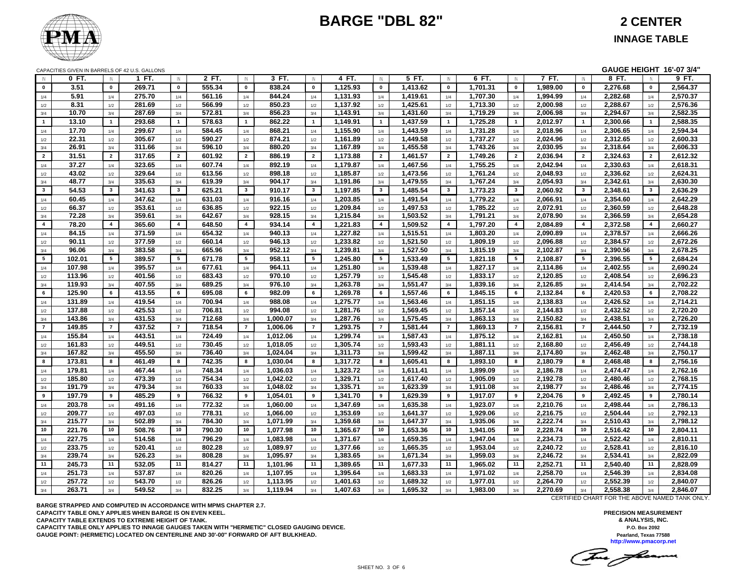

|                 |                  |                 | CAPACITIES GIVEN IN BARRELS OF 42 U.S. GALLONS |                         |                  |                         |                      |                         |          |                         |                      |                         |                      |                         |                      |                         | GAUGE HEIGHT 16'-07 3/4" |                 |                      |
|-----------------|------------------|-----------------|------------------------------------------------|-------------------------|------------------|-------------------------|----------------------|-------------------------|----------|-------------------------|----------------------|-------------------------|----------------------|-------------------------|----------------------|-------------------------|--------------------------|-----------------|----------------------|
| IN              | 0 FT.            | IN              | 1 FT.                                          | IN                      | 2 FT.            | IN                      | $3$ FT.              | IN                      | 4 FT.    | IN                      | 5 FT.                | IN                      | $6$ FT.              | IN.                     | 7 FT.                | IN                      | 8 FT.                    | IN              | 9 FT.                |
| $\mathbf 0$     | 3.51             | $\mathbf 0$     | 269.71                                         | $\pmb{0}$               | 555.34           | $\mathbf 0$             | 838.24               | $\mathbf 0$             | 1,125.93 | $\mathbf 0$             | 1,413.62             | $\mathbf 0$             | 1,701.31             | $\mathbf 0$             | 1,989.00             | $\mathbf 0$             | 2,276.68                 | $\mathbf{0}$    | 2,564.37             |
| 1/4             | 5.91             | 1/4             | 275.70                                         | 1/4                     | 561.16           | 1/4                     | 844.24               | 1/4                     | 1,131.93 | 1/4                     | 1,419.61             | 1/4                     | 1,707.30             | 1/4                     | 1,994.99             | 1/4                     | 2,282.68                 | 1/4             | 2,570.37             |
| 1/2             | 8.31             | 1/2             | 281.69                                         | 1/2                     | 566.99           | 1/2                     | 850.23               | $1/2$                   | 1,137.92 | $1/2$                   | 1,425.61             | $1/2$                   | 1,713.30             | $1/2$                   | 2,000.98             | $1/2$                   | 2,288.67                 | 1/2             | 2,576.36             |
| 3/4             | 10.70            | 3/4             | 287.69                                         | 3/4                     | 572.81           | 3/4                     | 856.23               | 3/4                     | 1,143.91 | 3/4                     | 1,431.60             | 3/4                     | 1,719.29             | 3/4                     | 2,006.98             | 3/4                     | 2,294.67                 | 3/4             | 2,582.35             |
| $\overline{1}$  | 13.10            | $\overline{1}$  | 293.68                                         | $\overline{1}$          | 578.63           | $\mathbf{1}$            | 862.22               | $\overline{1}$          | 1,149.91 | $\blacksquare$          | 1,437.59             | $\overline{1}$          | 1,725.28             | $\mathbf{1}$            | 2,012.97             | $\mathbf{1}$            | 2,300.66                 | $\mathbf{1}$    | 2,588.35             |
| 1/4             | 17.70            | 1/4             | 299.67                                         | 1/4                     | 584.45           | 1/4                     | 868.21               | 1/4                     | 1,155.90 | 1/4                     | 1,443.59             | $1/4$                   | 1,731.28             | 1/4                     | 2,018.96             | 1/4                     | 2,306.65                 | 1/4             | 2,594.34             |
| 1/2             | 22.31            | 1/2             | 305.67                                         | 1/2                     | 590.27           | 1/2                     | 874.21               | 1/2                     | 1,161.89 | 1/2                     | 1,449.58             | 1/2                     | 1,737.27             | 1/2                     | 2,024.96             | 1/2                     | 2,312.65                 | 1/2             | 2,600.33             |
| 3/4             | 26.91            | 3/4             | 311.66                                         | 3/4                     | 596.10           | 3/4                     | 880.20               | 3/4                     | 1,167.89 | 3/4                     | 1,455.58             | 3/4                     | 1,743.26             | 3/4                     | 2,030.95             | 3/4                     | 2,318.64                 | 3/4             | 2,606.33             |
| $\overline{2}$  | 31.51            | $\overline{2}$  | 317.65                                         | $\overline{2}$          | 601.92           | $\overline{2}$          | 886.19               | $\overline{2}$          | 1,173.88 | $\overline{2}$          | 1,461.57             | $\overline{2}$          | 1,749.26             | $\overline{2}$          | 2,036.94             | $\overline{2}$          | 2,324.63                 | $\overline{2}$  | 2,612.32             |
| 1/4             | 37.27            | 1/4             | 323.65                                         | 1/4                     | 607.74           | 1/4                     | 892.19               | 1/4                     | 1,179.87 | 1/4                     | 1,467.56             | 1/4                     | 1,755.25             | 1/4                     | 2,042.94             | 1/4                     | 2,330.63                 | 1/4             | 2,618.31             |
| 1/2             | 43.02            | 1/2             | 329.64                                         | 1/2                     | 613.56           | 1/2                     | 898.18               | 1/2                     | 1,185.87 | 1/2                     | 1,473.56             | $1/2$                   | 1,761.24             | 1/2                     | 2,048.93             | $1/2$                   | 2,336.62                 | 1/2             | 2,624.31             |
| 3/4             | 48.77            | 3/4             | 335.63                                         | 3/4                     | 619.39           | 3/4                     | 904.17               | 3/4                     | 1,191.86 | 3/4                     | 1,479.55             | 3/4                     | 1,767.24             | 3/4                     | 2,054.93             | 3/4                     | 2,342.61                 | 3/4             | 2,630.30             |
| $\mathbf{3}$    | 54.53            | $\mathbf{3}$    | 341.63                                         | $\overline{\mathbf{3}}$ | 625.21           | $\mathbf{3}$            | 910.17               | $\overline{\mathbf{3}}$ | 1.197.85 | $\mathbf{3}$            | 1.485.54             | $\overline{\mathbf{3}}$ | 1,773.23             | $\mathbf{3}$            | 2.060.92             | $\overline{\mathbf{3}}$ | 2.348.61                 | 3               | 2.636.29             |
| 1/4             | 60.45            | 1/4             | 347.62                                         | 1/4                     | 631.03           | 1/4                     | 916.16               | 1/4                     | 1,203.85 | 1/4                     | 1,491.54             | 1/4                     | 1,779.22             | 1/4                     | 2,066.91             | 1/4                     | 2,354.60                 | 1/4             | 2,642.29             |
| 1/2             | 66.37            | 1/2             | 353.61                                         | 1/2                     | 636.85           | 1/2                     | 922.15               | 1/2                     | 1,209.84 | 1/2                     | 1,497.53             | 1/2                     | 1,785.22             | 1/2                     | 2,072.91             | 1/2                     | 2,360.59                 | 1/2             | 2,648.28             |
| 3/4             | 72.28            | 3/4             | 359.61                                         | 3/4                     | 642.67           | 3/4                     | 928.15               | 3/4                     | 1,215.84 | 3/4                     | 1,503.52             | 3/4                     | 1,791.21             | 3/4                     | 2,078.90             | 3/4                     | 2,366.59                 | 3/4             | 2,654.28             |
| $\overline{4}$  | 78.20            | $\overline{4}$  | 365.60                                         | $\overline{\mathbf{4}}$ | 648.50           | $\overline{\mathbf{4}}$ | 934.14               | $\overline{a}$          | 1,221.83 | $\overline{\mathbf{4}}$ | 1,509.52             | $\overline{\mathbf{4}}$ | 1,797.20             | $\overline{\mathbf{4}}$ | 2,084.89             | $\overline{4}$          | 2,372.58                 | $\overline{4}$  | 2,660.27             |
| 1/4             | 84.15            | 1/4             | 371.59                                         | 1/4                     | 654.32           | 1/4                     | 940.13               | 1/4                     | 1,227.82 | 1/4                     | 1,515.51             | 1/4                     | 1,803.20             | 1/4                     | 2,090.89             | 1/4                     | 2,378.57                 | 1/4             | 2,666.26             |
| 1/2             | 90.11            | 1/2             | 377.59                                         | 1/2                     | 660.14           | 1/2                     | 946.13               | 1/2                     | 1,233.82 | 1/2                     | 1,521.50             | 1/2                     | 1,809.19             | 1/2                     | 2,096.88             | 1/2                     | 2,384.57                 | 1/2             | 2,672.26             |
| 3/4             | 96.06            | 3/4             | 383.58                                         | 3/4                     | 665.96           | 3/4                     | 952.12               | 3/4                     | 1,239.81 | 3/4                     | 1,527.50             | 3/4                     | 1,815.19             | 3/4                     | 2,102.87             | 3/4                     | 2,390.56                 | 3/4             | 2,678.25             |
| $5\phantom{.0}$ | 102.01           | $5\phantom{.0}$ | 389.57                                         | $5\phantom{.0}$         | 671.78           | $5\overline{5}$         | 958.11               | $5\phantom{.0}$         | 1,245.80 | $5\overline{5}$         | 1,533.49             | $5\phantom{.0}$         | 1,821.18             | 5                       | 2,108.87             | 5                       | 2,396.55                 | $5\overline{5}$ | 2,684.24             |
| 1/4             | 107.98           | 1/4             | 395.57                                         | 1/4                     | 677.61           | 1/4                     | 964.11               | 1/4                     | 1,251.80 | 1/4                     | 1,539.48             | 1/4                     | 1,827.17             | 1/4                     | 2,114.86             | 1/4                     | 2,402.55                 | 1/4             | 2,690.24             |
| 1/2             | 113.96           | 1/2             | 401.56                                         | 1/2                     | 683.43           | 1/2                     | 970.10               | 1/2                     | 1,257.79 | 1/2                     | 1,545.48             | 1/2                     | 1,833.17             | 1/2                     | 2,120.85             | 1/2                     | 2.408.54                 | 1/2             | 2,696.23             |
| 3/4             | 119.93           | 3/4             | 407.55                                         | 3/4                     | 689.25           | 3/4                     | 976.10               | 3/4                     | 1,263.78 | 3/4                     | 1,551.47             | 3/4                     | 1,839.16             | 3/4                     | 2,126.85             | 3/4                     | 2,414.54                 | 3/4             | 2,702.22             |
| 6               | 125.90           | 6               | 413.55                                         | 6                       | 695.08           | 6                       | 982.09               | 6                       | 1,269.78 | 6                       | 1,557.46             | 6                       | 1,845.15             | 6                       | 2,132.84             | 6                       | 2,420.53                 | 6               | 2,708.22             |
| 1/4             | 131.89           | 1/4             | 419.54                                         | 1/4                     | 700.94           | 1/4                     | 988.08               | 1/4                     | 1,275.77 | 1/4                     | 1,563.46             | 1/4                     | 1,851.15             | 1/4                     | 2,138.83             | 1/4                     | 2,426.52                 | 1/4             | 2,714.21             |
| 1/2             | 137.88           | 1/2             | 425.53                                         | 1/2                     | 706.81           | 1/2                     | 994.08               | 1/2                     | 1,281.76 | 1/2                     | 1,569.45             | 1/2                     | 1,857.14             | 1/2                     | 2,144.83             | 1/2                     | 2,432.52                 | 1/2             | 2,720.20             |
| 3/4             | 143.86           | 3/4             | 431.53                                         | 3/4                     | 712.68           | 3/4                     | 1,000.07             | 3/4                     | 1,287.76 | 3/4                     | 1,575.45             | 3/4                     | 1,863.13             | 3/4                     | 2,150.82             | 3/4                     | 2,438.51                 | 3/4             | 2,726.20             |
| $\overline{7}$  | 149.85           | $\overline{7}$  | 437.52                                         | $\overline{7}$          | 718.54           | $\overline{7}$          | 1,006.06             | $\overline{7}$          | 1,293.75 | $\overline{7}$          | 1,581.44             | $\overline{7}$          | 1,869.13             | $\overline{7}$          | 2,156.81             | $\overline{7}$          | 2,444.50                 | $\overline{7}$  | 2,732.19             |
| 1/4             | 155.84           | 1/4             | 443.51                                         | 1/4                     | 724.49           | 1/4                     | 1,012.06             | 1/4                     | 1,299.74 | 1/4                     | 1,587.43             | 1/4                     | 1,875.12             | 1/4                     | 2,162.81             | 1/4                     | 2,450.50                 | 1/4             | 2,738.18             |
| 1/2             | 161.83           | 1/2             | 449.51                                         | 1/2                     | 730.45           | 1/2                     | 1,018.05             | $1/2\,$                 | 1,305.74 | 1/2                     | 1,593.43             | $1/2$                   | 1,881.11             | 1/2                     | 2,168.80             | 1/2                     | 2,456.49                 | 1/2             | 2,744.18             |
| 3/4             | 167.82           | 3/4             | 455.50                                         | 3/4                     | 736.40           | 3/4                     | 1,024.04             | 3/4                     | 1,311.73 | 3/4                     | 1,599.42             | 3/4                     | 1,887.11             | 3/4                     | 2,174.80             | 3/4                     | 2,462.48                 | 3/4             | 2,750.17             |
| 8               | 173.81           | 8               | 461.49                                         | 8                       | 742.35           | 8                       | 1,030.04             | 8                       | 1,317.72 | 8                       | 1,605.41             | 8                       | 1,893.10             | 8                       | 2,180.79             | 8                       | 2,468.48                 | 8               | 2,756.16             |
| 1/4             | 179.81           | 1/4             | 467.44                                         | $1/4$                   | 748.34           | 1/4                     | 1,036.03             | $1/4$                   | 1,323.72 | 1/4                     | 1,611.41             | $1/4$                   | 1,899.09             | 1/4                     | 2,186.78             | 1/4                     | 2,474.47                 | 1/4             | 2,762.16             |
| 1/2             | 185.80           | 1/2             | 473.39                                         | 1/2                     | 754.34           | 1/2                     | 1,042.02             | 1/2                     | 1,329.71 | 1/2                     | 1,617.40             | 1/2                     | 1,905.09             | 1/2                     | 2,192.78             | 1/2                     | 2,480.46                 | 1/2             | 2,768.15             |
| 3/4             | 191.79           | 3/4             | 479.34                                         | 3/4                     | 760.33           | 3/4                     | 1,048.02             | 3/4                     | 1,335.71 | 3/4                     | 1,623.39             | 3/4                     | 1,911.08             | 3/4                     | 2,198.77             | 3/4                     | 2,486.46                 | 3/4             | 2,774.15             |
| 9               | 197.79           | 9               | 485.29                                         | 9                       | 766.32           | 9                       | 1,054.01             | 9                       | 1,341.70 | 9                       | 1,629.39             | 9                       | 1,917.07             | 9                       | 2,204.76             | 9                       | 2,492.45                 | 9               | 2,780.14             |
| 1/4             | 203.78           | 1/4             | 491.16                                         | 1/4                     | 772.32           | 1/4                     | 1,060.00             | 1/4                     | 1,347.69 | 1/4                     | 1,635.38             | 1/4                     | 1,923.07             | 1/4                     | 2,210.76             | 1/4                     | 2,498.44                 | 1/4             | 2,786.13             |
|                 | 209.77           | 1/2             | 497.03                                         | 1/2                     | 778.31           | 1/2                     | 1,066.00             | 1/2                     | 1,353.69 | 1/2                     | 1,641.37             | 1/2                     | 1,929.06             | 1/2                     | 2,216.75             | 1/2                     | 2,504.44                 | 1/2             | 2,792.13             |
| 1/2<br>3/4      | 215.77           | 3/4             | 502.89                                         | 3/4                     | 784.30           | 3/4                     | 1,071.99             | 3/4                     | 1,359.68 | 3/4                     | 1,647.37             | 3/4                     | 1,935.06             | 3/4                     | 2,222.74             | 3/4                     | 2,510.43                 | 3/4             | 2,798.12             |
| 10              | 221.76           | 10              | 508.76                                         | 10                      | 790.30           | 10                      | 1,077.98             | 10                      | 1,365.67 | 10                      | 1,653.36             | 10                      | 1,941.05             | 10                      | 2,228.74             | 10                      | 2,516.42                 | 10              | 2,804.11             |
|                 |                  |                 |                                                |                         |                  |                         |                      |                         |          |                         |                      |                         |                      |                         |                      |                         |                          |                 |                      |
| 1/4             | 227.75<br>233.75 | 1/4             | 514.58<br>520.41                               | 1/4                     | 796.29<br>802.28 | 1/4                     | 1,083.98<br>1,089.97 | 1/4                     | 1,371.67 | 1/4                     | 1,659.35<br>1,665.35 | 1/4                     | 1,947.04<br>1,953.04 | 1/4                     | 2,234.73<br>2,240.72 | 1/4                     | 2,522.42<br>2,528.41     | 1/4             | 2,810.11<br>2,816.10 |
| 1/2             | 239.74           | 1/2             | 526.23                                         | 1/2                     | 808.28           | 1/2                     |                      | 1/2                     | 1,377.66 | 1/2                     |                      | 1/2                     |                      | 1/2                     |                      | 1/2                     |                          | 1/2             |                      |
| 3/4             |                  | 3/4<br>11       |                                                | 3/4<br>11               |                  | 3/4<br>11               | 1,095.97             | 3/4<br>11               | 1,383.65 | 3/4<br>11               | 1,671.34             | 3/4<br>11               | 1,959.03             | 3/4<br>11               | 2,246.72             | 3/4<br>11               | 2,534.41                 | 3/4<br>11       | 2,822.09             |
| 11              | 245.73           |                 | 532.05                                         |                         | 814.27           |                         | 1,101.96             |                         | 1,389.65 |                         | 1,677.33             |                         | 1,965.02             |                         | 2,252.71             |                         | 2,540.40                 |                 | 2,828.09             |
| 1/4             | 251.73           | 1/4             | 537.87                                         | 1/4                     | 820.26           | 1/4                     | 1,107.95             | 1/4                     | 1,395.64 | 1/4                     | 1,683.33             | 1/4                     | 1,971.02             | 1/4                     | 2,258.70             | 1/4                     | 2,546.39                 | 1/4             | 2,834.08             |
| 1/2             | 257.72           | 1/2             | 543.70                                         | 1/2                     | 826.26           | 1/2                     | 1,113.95             | 1/2                     | 1,401.63 | 1/2                     | 1,689.32             | 1/2                     | 1,977.01             | 1/2                     | 2,264.70             | 1/2                     | 2,552.39                 | 1/2             | 2,840.07             |
| 3/4             | 263.71           | 3/4             | 549.52                                         | 3/4                     | 832.25           | 3/4                     | 1,119.94             | 3/4                     | 1,407.63 | 3/4                     | 1,695.32             | 3/4                     | 1,983.00             | 3/4                     | 2,270.69             | 3/4                     | 2,558.38                 | 3/4             | 2,846.07             |

**BARGE STRAPPED AND COMPUTED IN ACCORDANCE WITH MPMS CHAPTER 2.7. CAPACITY TABLE ONLY APPLIES WHEN BARGE IS ON EVEN KEEL. CAPACITY TABLE EXTENDS TO EXTREME HEIGHT OF TANK.**

**CAPACITY TABLE ONLY APPLIES TO INNAGE GAUGES TAKEN WITH "HERMETIC" CLOSED GAUGING DEVICE. GAUGE POINT: (HERMETIC) LOCATED ON CENTERLINE AND 30'-00" FORWARD OF AFT BULKHEAD.**

CERTIFIED CHART FOR THE ABOVE NAMED TANK ONLY.

**http://www.pmacorp.net Pearland, Texas 77588 PRECISION MEASUREMENT & ANALYSIS, INC. P.O. Box 2092**

The freeman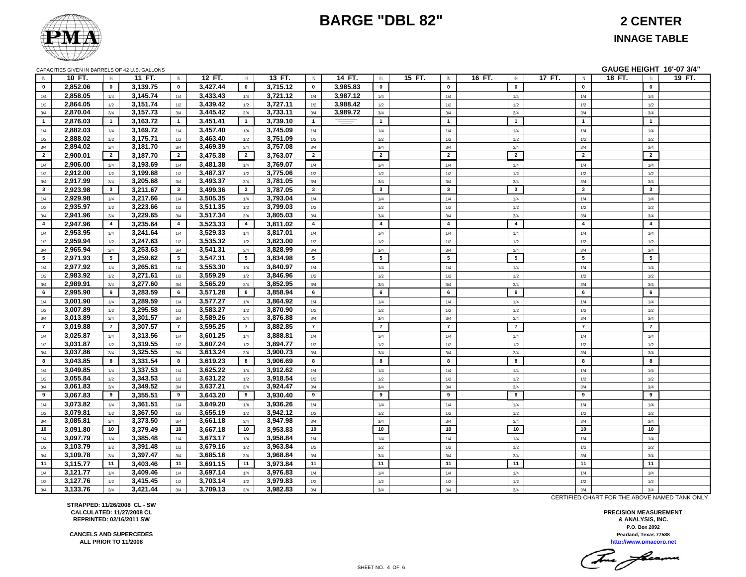

**2 CENTER**

#### **INNAGE TABLE**

|                | CAPACITIES GIVEN IN BARRELS OF 42 U.S. GALLONS |                 |                      |                 |                      |                 |                      |                 |          |                         |        |                         |        |                |        |                         | GAUGE HEIGHT 16'-07 3/4" |        |
|----------------|------------------------------------------------|-----------------|----------------------|-----------------|----------------------|-----------------|----------------------|-----------------|----------|-------------------------|--------|-------------------------|--------|----------------|--------|-------------------------|--------------------------|--------|
| <b>IN</b>      | 10 FT.                                         | $\mathbb{N}$    | 11 FT.               | $\mathsf{IN}$   | 12 FT.               | IN              | 13 FT.               | $\mathbb{N}$    | 14 FT.   | $\mathsf{IN}$           | 15 FT. | IN                      | 16 FT. | IN             | 17 FT. | $\mathbb{N}$            | 18 FT.<br>IN             | 19 FT. |
| $\mathbf{0}$   | 2,852.06                                       | $\mathbf{0}$    | 3,139.75             | $\mathbf{0}$    | 3,427.44             | $\mathbf 0$     | 3,715.12             | $\mathbf{0}$    | 3,985.83 | $\mathbf 0$             |        | $\mathbf 0$             |        | $\mathbf 0$    |        | $\mathbf 0$             | $\mathbf{0}$             |        |
| 1/4            | 2,858.05                                       | 1/4             | 3,145.74             | 1/4             | 3,433.43             | 1/4             | 3,721.12             | 1/4             | 3,987.12 | 1/4                     |        | 1/4                     |        | 1/4            |        | 1/4                     | 1/4                      |        |
| 1/2            | 2,864.05                                       | 1/2             | 3,151.74             | 1/2             | 3,439.42             | 1/2             | 3,727.11             | 1/2             | 3,988.42 | 1/2                     |        | $1/2\,$                 |        | 1/2            |        | 1/2                     | 1/2                      |        |
| 3/4            | 2,870.04                                       | 3/4             | 3,157.73             | 3/4             | 3,445.42             | 3/4             | 3,733.11             | 3/4             | 3,989.72 | 3/4                     |        | 3/4                     |        | 3/4            |        | 3/4                     | 3/4                      |        |
| $\blacksquare$ | 2,876.03                                       | $\mathbf{1}$    | 3,163.72             | $\overline{1}$  | 3,451.41             | $\mathbf{1}$    | 3,739.10             | $\mathbf{1}$    | ══       | $\overline{1}$          |        | $\overline{1}$          |        | $\overline{1}$ |        | $\overline{1}$          | $\overline{1}$           |        |
| 1/4            | 2,882.03                                       | 1/4             | 3,169.72             | 1/4             | 3,457.40             | 1/4             | 3,745.09             | 1/4             |          | 1/4                     |        | 1/4                     |        | 1/4            |        | 1/4                     | 1/4                      |        |
| 1/2            | 2,888.02                                       | 1/2             | 3,175.71             | 1/2             | 3,463.40             | 1/2             | 3,751.09             | 1/2             |          | 1/2                     |        | 1/2                     |        | 1/2            |        | 1/2                     | 1/2                      |        |
| 3/4            | 2,894.02                                       | 3/4             | 3,181.70             | 3/4             | 3,469.39             | 3/4             | 3,757.08             | 3/4             |          | 3/4                     |        | 3/4                     |        | 3/4            |        | 3/4                     | 3/4                      |        |
| $\overline{2}$ | 2,900.01                                       | $\overline{2}$  | 3,187.70             | $\overline{2}$  | 3,475.38             | $\overline{2}$  | 3,763.07             | $\overline{2}$  |          | $\overline{2}$          |        | $\overline{2}$          |        | $\overline{2}$ |        | $\overline{2}$          | $\overline{2}$           |        |
| 1/4            | 2,906.00                                       | 1/4             | 3,193.69             | 1/4             | 3,481.38             | 1/4             | 3,769.07             | 1/4             |          | 1/4                     |        | 1/4                     |        | 1/4            |        | 1/4                     | 1/4                      |        |
| 1/2            | 2,912.00                                       | 1/2             | 3,199.68             | 1/2             | 3,487.37             | 1/2             | 3,775.06             | 1/2             |          | 1/2                     |        | 1/2                     |        | 1/2            |        | 1/2                     | 1/2                      |        |
| 3/4            | 2,917.99                                       | 3/4             | 3,205.68             | 3/4             | 3,493.37             | 3/4             | 3,781.05             | 3/4             |          | 3/4                     |        | 3/4                     |        | 3/4            |        | 3/4                     | 3/4                      |        |
| $\mathbf{3}$   | 2,923.98                                       | $\mathbf{3}$    | 3,211.67             | $\mathbf{3}$    | 3,499.36             | $\mathbf{3}$    | 3,787.05             | $\mathbf{3}$    |          | $\mathbf{3}$            |        | $\overline{\mathbf{3}}$ |        | $\mathbf{3}$   |        | $\mathbf{3}$            | $\mathbf{3}$             |        |
| 1/4            | 2,929.98                                       | 1/4             | 3,217.66             | 1/4             | 3,505.35             | 1/4             | 3,793.04             | 1/4             |          | 1/4                     |        | 1/4                     |        | 1/4            |        | 1/4                     | 1/4                      |        |
| 1/2            | 2,935.97                                       | 1/2             | 3,223.66             | 1/2             | 3,511.35             | 1/2             | 3,799.03             | 1/2             |          | 1/2                     |        | 1/2                     |        | 1/2            |        | 1/2                     | 1/2                      |        |
| 3/4            | 2,941.96                                       | 3/4             | 3,229.65             | 3/4             | 3,517.34             | 3/4             | 3,805.03             | 3/4             |          | 3/4                     |        | 3/4                     |        | 3/4            |        | 3/4                     | 3/4                      |        |
| $\overline{4}$ | 2,947.96                                       | $\overline{4}$  | 3,235.64             | $\overline{4}$  | 3,523.33             | $\overline{4}$  | 3,811.02             | $\overline{4}$  |          | $\overline{\mathbf{4}}$ |        | $\overline{\mathbf{4}}$ |        | $\overline{a}$ |        | $\overline{\mathbf{4}}$ | $\overline{4}$           |        |
| 1/4            | 2,953.95                                       | 1/4             | 3,241.64             | 1/4             | 3,529.33             | 1/4             | 3,817.01             | 1/4             |          | 1/4                     |        | 1/4                     |        | 1/4            |        | 1/4                     | 1/4                      |        |
| 1/2            | 2,959.94                                       | 1/2             | 3,247.63             | 1/2             | 3,535.32             | 1/2             | 3,823.00             | 1/2             |          | 1/2                     |        | $1/2$                   |        | 1/2            |        | 1/2                     | 1/2                      |        |
| 3/4            | 2,965.94                                       | 3/4             | 3,253.63             | 3/4             | 3,541.31             | 3/4             | 3,828.99             | 3/4             |          | 3/4                     |        | 3/4                     |        | 3/4            |        | 3/4                     | 3/4                      |        |
| $5^{\circ}$    | 2,971.93                                       | $5\overline{ }$ | 3,259.62             | $5\overline{5}$ | 3,547.31             | $5\overline{5}$ | 3,834.98             | $5\phantom{.0}$ |          | $5\phantom{.0}$         |        | 5                       |        | 5              |        | 5                       | $\sqrt{5}$               |        |
| 1/4            | 2,977.92                                       | 1/4             | 3,265.61             | 1/4             | 3,553.30             | 1/4             | 3,840.97             | 1/4             |          | 1/4                     |        | 1/4                     |        | 1/4            |        | 1/4                     | 1/4                      |        |
| 1/2            | 2,983.92                                       | 1/2             | 3,271.61             | 1/2             | 3,559.29             | 1/2             | 3,846.96             | 1/2             |          | 1/2                     |        | 1/2                     |        | 1/2            |        | 1/2                     | 1/2                      |        |
| 3/4            | 2,989.91                                       | 3/4             | 3,277.60             | 3/4             | 3,565.29             | 3/4             | 3,852.95             | 3/4             |          | 3/4                     |        | 3/4                     |        | 3/4            |        | 3/4                     | 3/4                      |        |
| 6              | 2,995.90                                       | 6               | 3,283.59             | 6               | 3,571.28             | 6               | 3,858.94             | 6               |          | 6                       |        | 6                       |        | 6              |        | 6                       | 6                        |        |
| 1/4            | 3,001.90                                       | 1/4             | 3,289.59             | 1/4             | 3,577.27             | 1/4             | 3,864.92             | 1/4             |          | 1/4                     |        | 1/4                     |        | 1/4            |        | 1/4                     | 1/4                      |        |
| 1/2            | 3,007.89                                       | 1/2             | 3,295.58             | 1/2             | 3,583.27             | 1/2             | 3,870.90             | 1/2             |          | 1/2                     |        | 1/2                     |        | 1/2            |        | 1/2                     | 1/2                      |        |
| 3/4            | 3,013.89                                       | 3/4             | 3,301.57             | 3/4             | 3,589.26             | 3/4             | 3,876.88             | $3/4$           |          | 3/4                     |        | 3/4                     |        | 3/4            |        | 3/4                     | 3/4                      |        |
| $\overline{7}$ | 3,019.88                                       | $\overline{7}$  | 3,307.57             | $\overline{7}$  | 3,595.25             | $\overline{7}$  | 3,882.85             | $\overline{7}$  |          | $\overline{7}$          |        | $\overline{7}$          |        | $\overline{7}$ |        | $\overline{7}$          | $\overline{7}$           |        |
| 1/4            | 3,025.87                                       | 1/4             | 3,313.56             | 1/4             | 3,601.25             | $1/4$           | 3,888.81             | $1/4$           |          | $1/4$                   |        | $1/4$                   |        | 1/4            |        | $1/4$                   | 1/4                      |        |
| 1/2            | 3,031.87                                       | 1/2             | 3,319.55             | $1/2$           | 3,607.24             | 1/2             | 3,894.77             | 1/2             |          | $1/2$                   |        | 1/2                     |        | 1/2            |        | 1/2                     | 1/2                      |        |
| 3/4            | 3,037.86                                       | 3/4             | 3,325.55             | 3/4             | 3,613.24             | 3/4             | 3,900.73             | 3/4             |          | 3/4                     |        | 3/4                     |        | 3/4            |        | 3/4                     | 3/4                      |        |
| 8              | 3,043.85                                       | 8               | 3,331.54             | 8               | 3,619.23             | 8               | 3,906.69             | 8               |          | 8                       |        | 8                       |        | 8              |        | 8                       | 8                        |        |
| 1/4            | 3,049.85                                       | 1/4             | 3,337.53             | 1/4             | 3,625.22             | 1/4             | 3,912.62             | 1/4             |          | 1/4                     |        | 1/4                     |        | 1/4            |        | 1/4                     | 1/4                      |        |
| 1/2            | 3,055.84<br>3,061.83                           | 1/2             | 3,343.53<br>3,349.52 | 1/2             | 3,631.22<br>3,637.21 | 1/2             | 3,918.54<br>3,924.47 | 1/2             |          | $1/2$<br>3/4            |        | 1/2                     |        | 1/2            |        | 1/2                     | 1/2                      |        |
| 3/4<br>9       | 3,067.83                                       | 3/4<br>9        | 3,355.51             | 3/4<br>9        | 3,643.20             | 3/4<br>9        | 3,930.40             | 3/4<br>9        |          | 9                       |        | 3/4<br>9                |        | 3/4<br>9       |        | 3/4<br>9                | 3/4<br>9                 |        |
|                | 3,073.82                                       |                 | 3,361.51             |                 | 3,649.20             |                 | 3,936.26             |                 |          |                         |        |                         |        |                |        |                         |                          |        |
| 1/4<br>1/2     | 3,079.81                                       | 1/4<br>1/2      | 3,367.50             | 1/4<br>1/2      | 3,655.19             | 1/4<br>1/2      | 3,942.12             | 1/4<br>1/2      |          | 1/4<br>1/2              |        | 1/4<br>1/2              |        | 1/4<br>1/2     |        | 1/4<br>1/2              | 1/4<br>1/2               |        |
| 3/4            | 3,085.81                                       | 3/4             | 3,373.50             | 3/4             | 3,661.18             | 3/4             | 3,947.98             | $3/4$           |          | 3/4                     |        | 3/4                     |        | 3/4            |        | 3/4                     | 3/4                      |        |
| 10             | 3,091.80                                       | 10              | 3,379.49             | 10              | 3,667.18             | 10              | 3,953.83             | 10              |          | 10                      |        | 10 <sup>10</sup>        |        | 10             |        | 10                      | 10                       |        |
| 1/4            | 3,097.79                                       | 1/4             | 3,385.48             | 1/4             | 3,673.17             | 1/4             | 3,958.84             | 1/4             |          | 1/4                     |        | $1/4$                   |        | 1/4            |        | 1/4                     | 1/4                      |        |
| 1/2            | 3,103.79                                       | 1/2             | 3,391.48             | 1/2             | 3,679.16             | 1/2             | 3,963.84             | 1/2             |          | 1/2                     |        | 1/2                     |        | 1/2            |        | 1/2                     | 1/2                      |        |
| 3/4            | 3,109.78                                       | 3/4             | 3,397.47             | 3/4             | 3,685.16             | 3/4             | 3,968.84             | 3/4             |          | 3/4                     |        | 3/4                     |        | 3/4            |        | 3/4                     | 3/4                      |        |
| 11             | 3,115.77                                       | 11              | 3,403.46             | 11              | 3,691.15             | 11              | 3,973.84             | 11              |          | 11                      |        | 11                      |        | 11             |        | 11                      | 11                       |        |
| 1/4            | 3,121.77                                       | 1/4             | 3,409.46             | 1/4             | 3,697.14             | 1/4             | 3,976.83             | 1/4             |          | 1/4                     |        | 1/4                     |        | 1/4            |        | 1/4                     | 1/4                      |        |
| 1/2            | 3,127.76                                       | 1/2             | 3,415.45             | 1/2             | 3,703.14             | 1/2             | 3,979.83             | 1/2             |          | $1/2\,$                 |        | 1/2                     |        | 1/2            |        | 1/2                     | $1/2$                    |        |
| 3/4            | 3,133.76                                       | 3/4             | 3,421.44             | 3/4             | 3,709.13             | 3/4             | 3,982.83             | 3/4             |          | 3/4                     |        | 3/4                     |        | 3/4            |        | 3/4                     | 3/4                      |        |
|                |                                                |                 |                      |                 |                      |                 |                      |                 |          |                         |        |                         |        |                |        |                         |                          |        |

CERTIFIED CHART FOR THE ABOVE NAMED TANK ONLY.

**Pearland, Texas 77588 PRECISION MEASUREMENT & ANALYSIS, INC. P.O. Box 2092**

http://www.pmacorp.net<br>Two **Formacy** 

**STRAPPED: 11/26/2008 CL - SW CALCULATED: 11/27/2008 CLREPRINTED: 02/16/2011 SW**

**CANCELS AND SUPERCEDESALL PRIOR TO 11/2008**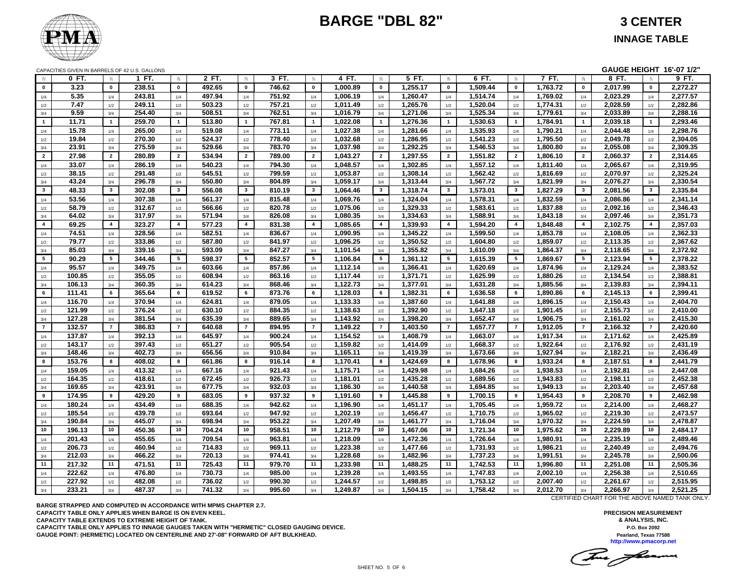

CAPACITIES GIVEN IN BARRELS OF 42 U.S. GALLONS

|                | CAPACITIES GIVEN IN BARRELS OF 42 U.S. GALLONS |                         |        |                         |        |                         |         |                         |          |                         |          |                         |          |                         |                      |                | <b>GAUGE HEIGHT 16'-07 1/2"</b> |                |          |
|----------------|------------------------------------------------|-------------------------|--------|-------------------------|--------|-------------------------|---------|-------------------------|----------|-------------------------|----------|-------------------------|----------|-------------------------|----------------------|----------------|---------------------------------|----------------|----------|
| - IN           | 0 FT.                                          | IN                      | 1 FT.  | IN                      | 2 FT.  | IN                      | $3$ FT. | IN                      | 4 FT.    | IN                      | 5 FT.    | IN                      | 6 FT.    | IN                      | 7 FT.                | IN             | $8$ FT.                         | IN             | 9 FT.    |
| $\mathbf{0}$   | 3.23                                           | $\mathbf 0$             | 238.51 | $\mathbf 0$             | 492.65 | $\mathbf 0$             | 746.62  | $\pmb{0}$               | 1,000.89 | $\mathbf 0$             | 1,255.17 | $\pmb{0}$               | 1,509.44 | $\mathbf 0$             | 1,763.72             | $\mathbf 0$    | 2,017.99                        | $\mathbf{0}$   | 2,272.27 |
| 1/4            | 5.35                                           | 1/4                     | 243.81 | 1/4                     | 497.94 | 1/4                     | 751.92  | 1/4                     | 1,006.19 | 1/4                     | 1,260.47 | 1/4                     | 1,514.74 | 1/4                     | 1,769.02             | 1/4            | 2,023.29                        | 1/4            | 2,277.57 |
| 1/2            | 7.47                                           | 1/2                     | 249.11 | 1/2                     | 503.23 | 1/2                     | 757.21  | 1/2                     | 1,011.49 | 1/2                     | 1,265.76 | 1/2                     | 1,520.04 | 1/2                     | 1,774.31             | 1/2            | 2,028.59                        | 1/2            | 2,282.86 |
| 3/4            | 9.59                                           | 3/4                     | 254.40 | 3/4                     | 508.51 | 3/4                     | 762.51  | 3/4                     | 1,016.79 | 3/4                     | 1,271.06 | 3/4                     | 1,525.34 | 3/4                     | 1,779.61             | 3/4            | 2,033.89                        | 3/4            | 2,288.16 |
| $\overline{1}$ | 11.71                                          | $\mathbf{1}$            | 259.70 | $\mathbf{1}$            | 513.80 | $\mathbf{1}$            | 767.81  | $\blacktriangleleft$    | 1,022.08 | $\mathbf{1}$            | 1,276.36 | $\overline{1}$          | 1,530.63 | $\overline{1}$          | 1,784.91             | $\mathbf{1}$   | 2,039.18                        | $\mathbf{1}$   | 2,293.46 |
| 1/4            | 15.78                                          | 1/4                     | 265.00 | 1/4                     | 519.08 | 1/4                     | 773.11  | 1/4                     | 1,027.38 | 1/4                     | 1,281.66 | 1/4                     | 1,535.93 | 1/4                     | 1,790.21             | 1/4            | 2,044.48                        | 1/4            | 2,298.76 |
| 1/2            | 19.84                                          | 1/2                     | 270.30 | 1/2                     | 524.37 | 1/2                     | 778.40  | 1/2                     | 1,032.68 | 1/2                     | 1,286.95 | 1/2                     | 1,541.23 | 1/2                     | 1,795.50             | 1/2            | 2,049.78                        | 1/2            | 2,304.05 |
| 3/4            | 23.91                                          | 3/4                     | 275.59 | 3/4                     | 529.66 | 3/4                     | 783.70  | 3/4                     | 1,037.98 | 3/4                     | 1,292.25 | 3/4                     | 1,546.53 | 3/4                     | 1,800.80             | 3/4            | 2,055.08                        | 3/4            | 2,309.35 |
| $\overline{2}$ | 27.98                                          | $\overline{2}$          | 280.89 | $\overline{2}$          | 534.94 | $2^{\circ}$             | 789.00  | $\overline{2}$          | 1,043.27 | $2^{\circ}$             | 1,297.55 | $\overline{2}$          | 1,551.82 | $\overline{2}$          | 1,806.10             | $\overline{2}$ | 2,060.37                        | $\overline{2}$ | 2,314.65 |
| 1/4            | 33.07                                          | 1/4                     | 286.19 | 1/4                     | 540.23 | 1/4                     | 794.30  | 1/4                     | 1,048.57 | 1/4                     | 1,302.85 | 1/4                     | 1,557.12 | 1/4                     | 1,811.40             | 1/4            | 2,065.67                        | 1/4            | 2,319.95 |
| 1/2            | 38.15                                          | 1/2                     | 291.48 | 1/2                     | 545.51 | 1/2                     | 799.59  | 1/2                     | 1,053.87 | 1/2                     | 1,308.14 | 1/2                     | 1,562.42 | 1/2                     | 1,816.69             | 1/2            | 2,070.97                        | 1/2            | 2,325.24 |
| 3/4            | 43.24                                          | 3/4                     | 296.78 | 3/4                     | 550.80 | 3/4                     | 804.89  | 3/4                     | 1,059.17 | 3/4                     | 1,313.44 | 3/4                     | 1,567.72 | 3/4                     | 1,821.99             | 3/4            | 2,076.27                        | 3/4            | 2,330.54 |
| $\mathbf{3}$   | 48.33                                          | $3^{\circ}$             | 302.08 | $\overline{\mathbf{3}}$ | 556.08 | 3 <sup>1</sup>          | 810.19  | $\mathbf{3}$            | 1,064.46 | 3 <sup>1</sup>          | 1,318.74 | $\mathbf{3}$            | 1,573.01 | $\mathbf{3}$            | 1,827.29             | $\mathbf{3}$   | 2,081.56                        | 3              | 2,335.84 |
| 1/4            | 53.56                                          | 1/4                     | 307.38 | 1/4                     | 561.37 | 1/4                     | 815.48  | 1/4                     | 1,069.76 | 1/4                     | 1,324.04 | 1/4                     | 1,578.31 | 1/4                     | 1,832.59             | 1/4            | 2,086.86                        | 1/4            | 2,341.14 |
| 1/2            | 58.79                                          | 1/2                     | 312.67 | 1/2                     | 566.66 | 1/2                     | 820.78  | 1/2                     | 1,075.06 | 1/2                     | 1,329.33 | 1/2                     | 1,583.61 | 1/2                     | 1,837.88             | 1/2            | 2,092.16                        | 1/2            | 2,346.43 |
| 3/4            | 64.02                                          | 3/4                     | 317.97 | 3/4                     | 571.94 | 3/4                     | 826.08  | 3/4                     | 1,080.35 | 3/4                     | 1,334.63 | 3/4                     | 1,588.91 | 3/4                     | 1,843.18             | 3/4            | 2,097.46                        | 3/4            | 2,351.73 |
| $\overline{4}$ | 69.25                                          | $\overline{\mathbf{4}}$ | 323.27 | $\overline{\mathbf{4}}$ | 577.23 | $\overline{\mathbf{4}}$ | 831.38  | $\overline{\mathbf{4}}$ | 1,085.65 | $\overline{\mathbf{4}}$ | 1,339.93 | $\overline{\mathbf{4}}$ | 1,594.20 | $\overline{\mathbf{4}}$ | 1,848.48             | $\overline{4}$ | 2,102.75                        | $\overline{4}$ | 2,357.03 |
| 1/4            | 74.51                                          | 1/4                     | 328.56 | 1/4                     | 582.51 | 1/4                     | 836.67  | 1/4                     | 1,090.95 | 1/4                     | 1,345.22 | 1/4                     | 1,599.50 | 1/4                     | 1,853.78             | 1/4            | 2,108.05                        | 1/4            | 2,362.33 |
| 1/2            | 79.77                                          | 1/2                     | 333.86 | 1/2                     | 587.80 | 1/2                     | 841.97  | 1/2                     | 1.096.25 | 1/2                     | 1,350.52 | 1/2                     | 1,604.80 | 1/2                     | 1,859.07             | 1/2            | 2,113.35                        | 1/2            | 2,367.62 |
| 3/4            | 85.03                                          | 3/4                     | 339.16 | 3/4                     | 593.09 | 3/4                     | 847.27  | 3/4                     | 1,101.54 | 3/4                     | 1,355.82 | 3/4                     | 1,610.09 | 3/4                     | 1,864.37             | 3/4            | 2,118.65                        | 3/4            | 2,372.92 |
| $5^{\circ}$    | 90.29                                          | $5\overline{5}$         | 344.46 | 5                       | 598.37 | $5\phantom{.0}$         | 852.57  | 5                       | 1,106.84 | $5\phantom{.0}$         | 1,361.12 | 5                       | 1,615.39 | $5\phantom{.0}$         | 1,869.67             | 5              | 2,123.94                        | 5              | 2,378.22 |
| 1/4            | 95.57                                          | 1/4                     | 349.75 | 1/4                     | 603.66 | 1/4                     | 857.86  | 1/4                     | 1,112.14 | 1/4                     | 1,366.41 | 1/4                     | 1,620.69 | 1/4                     | 1,874.96             | 1/4            | 2,129.24                        | 1/4            | 2,383.52 |
| 1/2            | 100.85                                         | 1/2                     | 355.05 | 1/2                     | 608.94 | 1/2                     | 863.16  | 1/2                     | 1,117.44 | 1/2                     | 1,371.71 | 1/2                     | 1,625.99 | 1/2                     | 1,880.26             | 1/2            | 2,134.54                        | 1/2            | 2,388.81 |
| 3/4            | 106.13                                         | 3/4                     | 360.35 | 3/4                     | 614.23 | 3/4                     | 868.46  | 3/4                     | 1,122.73 | 3/4                     | 1,377.01 | 3/4                     | 1,631.28 | 3/4                     | 1,885.56             | 3/4            | 2,139.83                        | 3/4            | 2,394.11 |
| 6              | 111.41                                         | 6                       | 365.64 | 6                       | 619.52 | 6                       | 873.76  | 6                       | 1,128.03 | 6                       | 1,382.31 | 6                       | 1,636.58 | 6                       | 1,890.86             | 6              | 2,145.13                        | 6              | 2,399.41 |
| 1/4            | 116.70                                         | 1/4                     | 370.94 | 1/4                     | 624.81 | 1/4                     | 879.05  | 1/4                     | 1,133.33 | 1/4                     | 1,387.60 | 1/4                     | 1,641.88 | 1/4                     | 1,896.15             | 1/4            | 2,150.43                        | 1/4            | 2,404.70 |
| 1/2            | 121.99                                         | 1/2                     | 376.24 | 1/2                     | 630.10 | 1/2                     | 884.35  | 1/2                     | 1,138.63 | 1/2                     | 1.392.90 | 1/2                     | 1,647.18 | 1/2                     | 1,901.45             | 1/2            | 2,155.73                        | 1/2            | 2,410.00 |
| 3/4            | 127.28                                         | 3/4                     | 381.54 | 3/4                     | 635.39 | 3/4                     | 889.65  | 3/4                     | 1,143.92 | 3/4                     | 1,398.20 | 3/4                     | 1,652.47 | 3/4                     | 1,906.75             | 3/4            | 2,161.02                        | 3/4            | 2,415.30 |
| $\overline{7}$ | 132.57                                         | $\overline{7}$          | 386.83 | $\overline{7}$          | 640.68 | $\overline{7}$          | 894.95  | $\overline{7}$          | 1,149.22 | $\overline{7}$          | 1,403.50 | $\overline{7}$          | 1,657.77 | $\overline{7}$          | 1,912.05             | $\overline{7}$ | 2,166.32                        | $\overline{7}$ | 2,420.60 |
| 1/4            | 137.87                                         | 1/4                     | 392.13 | 1/4                     | 645.97 | 1/4                     | 900.24  | 1/4                     | 1,154.52 | 1/4                     | 1,408.79 | 1/4                     | 1,663.07 | 1/4                     | 1,917.34             | 1/4            | 2,171.62                        | 1/4            | 2,425.89 |
| 1/2            | 143.17                                         | 1/2                     | 397.43 | 1/2                     | 651.27 | 1/2                     | 905.54  | 1/2                     | 1,159.82 | 1/2                     | 1,414.09 | 1/2                     | 1,668.37 | 1/2                     | 1,922.64             | 1/2            | 2,176.92                        | 1/2            | 2,431.19 |
| 3/4            | 148.46                                         | 3/4                     | 402.73 | 3/4                     | 656.56 | 3/4                     | 910.84  | 3/4                     | 1,165.11 | 3/4                     | 1,419.39 | 3/4                     | 1,673.66 | 3/4                     | 1,927.94             | 3/4            | 2,182.21                        | 3/4            | 2,436.49 |
| 8              | 153.76                                         | 8                       | 408.02 | 8                       | 661.86 | 8                       | 916.14  | 8                       | 1,170.41 | 8                       | 1,424.69 | 8                       | 1,678.96 | 8                       | 1,933.24             | 8              | 2,187.51                        | 8              | 2,441.79 |
| 1/4            | 159.05                                         | 1/4                     | 413.32 | 1/4                     | 667.16 | 1/4                     | 921.43  | 1/4                     | 1,175.71 | 1/4                     | 1,429.98 | 1/4                     | 1,684.26 | 1/4                     | 1,938.53             | 1/4            | 2,192.81                        | 1/4            | 2,447.08 |
| 1/2            | 164.35                                         | 1/2                     | 418.61 | 1/2                     | 672.45 | 1/2                     | 926.73  | 1/2                     | 1,181.01 | 1/2                     | 1,435.28 | 1/2                     | 1,689.56 | 1/2                     | 1,943.83             | 1/2            | 2,198.11                        | 1/2            | 2,452.38 |
| 3/4            | 169.65                                         | 3/4                     | 423.91 | 3/4                     | 677.75 | 3/4                     | 932.03  | 3/4                     | 1,186.30 | 3/4                     | 1,440.58 | 3/4                     | 1,694.85 | 3/4                     | 1,949.13             | 3/4            | 2,203.40                        | 3/4            | 2,457.68 |
| 9              | 174.95                                         | 9                       | 429.20 | 9                       | 683.05 | 9                       | 937.32  | 9                       | 1,191.60 | 9                       | 1,445.88 | 9                       | 1,700.15 | 9                       | 1,954.43             | 9              | 2,208.70                        | 9              | 2,462.98 |
| 1/4            | 180.24                                         | 1/4                     | 434.49 | 1/4                     | 688.35 | 1/4                     | 942.62  | 1/4                     | 1,196.90 | 1/4                     | 1,451.17 | 1/4                     | 1,705.45 | 1/4                     | 1,959.72             | 1/4            | 2,214.00                        | 1/4            | 2,468.27 |
|                | 185.54                                         | 1/2                     | 439.78 | 1/2                     | 693.64 | 1/2                     | 947.92  | 1/2                     | 1,202.19 | 1/2                     | 1,456.47 | 1/2                     | 1,710.75 | 1/2                     | 1,965.02             | 1/2            | 2,219.30                        | 1/2            | 2,473.57 |
| 1/2<br>3/4     | 190.84                                         | 3/4                     | 445.07 | 3/4                     | 698.94 | 3/4                     | 953.22  | 3/4                     | 1,207.49 | 3/4                     | 1,461.77 | 3/4                     | 1,716.04 | 3/4                     | 1,970.32             | 3/4            | 2,224.59                        | 3/4            | 2,478.87 |
| 10             | 196.13                                         | 10                      | 450.36 | 10                      | 704.24 | 10                      | 958.51  | 10                      | 1,212.79 | 10                      | 1,467.06 | 10                      | 1,721.34 | 10                      | 1,975.62             | 10             | 2,229.89                        | 10             | 2,484.17 |
|                | 201.43                                         |                         | 455.65 |                         | 709.54 |                         | 963.81  |                         | 1,218.09 |                         | 1,472.36 |                         | 1,726.64 |                         |                      |                | 2,235.19                        |                | 2,489.46 |
| 1/4            | 206.73                                         | 1/4                     | 460.94 | 1/4                     | 714.83 | 1/4                     | 969.11  | 1/4                     | 1,223.38 | 1/4                     | 1,477.66 | 1/4                     | 1,731.93 | 1/4                     | 1,980.91<br>1,986.21 | 1/4            | 2,240.49                        | 1/4            | 2,494.76 |
| 1/2            | 212.03                                         | 1/2<br>3/4              | 466.22 | 1/2<br>3/4              | 720.13 | 1/2<br>3/4              | 974.41  | 1/2<br>3/4              | 1,228.68 | 1/2<br>3/4              | 1,482.96 | 1/2<br>3/4              | 1,737.23 | 1/2<br>3/4              | 1,991.51             | 1/2<br>3/4     | 2,245.78                        | 1/2<br>3/4     | 2,500.06 |
| 3/4<br>11      | 217.32                                         | 11                      | 471.51 | 11                      | 725.43 | 11                      | 979.70  | 11                      | 1,233.98 | 11                      |          | 11                      |          | 11                      |                      | 11             | 2,251.08                        | 11             |          |
|                |                                                |                         |        |                         |        |                         |         |                         |          |                         | 1,488.25 |                         | 1,742.53 |                         | 1,996.80             |                |                                 |                | 2,505.36 |
| 1/4            | 222.62                                         | 1/4                     | 476.80 | 1/4                     | 730.73 | 1/4                     | 985.00  | 1/4                     | 1,239.28 | 1/4                     | 1,493.55 | 1/4                     | 1,747.83 | 1/4                     | 2,002.10             | 1/4            | 2,256.38                        | 1/4            | 2,510.65 |
| 1/2            | 227.92                                         | 1/2                     | 482.08 | 1/2                     | 736.02 | 1/2                     | 990.30  | 1/2                     | 1,244.57 | 1/2                     | 1,498.85 | 1/2                     | 1,753.12 | 1/2                     | 2,007.40             | 1/2            | 2,261.67                        | 1/2            | 2,515.95 |
| 3/4            | 233.21                                         | 3/4                     | 487.37 | 3/4                     | 741.32 | 3/4                     | 995.60  | 3/4                     | 1,249.87 | 3/4                     | 1,504.15 | 3/4                     | 1,758.42 | 3/4                     | 2,012.70             | 3/4            | 2,266.97                        | 3/4            | 2,521.25 |

**BARGE STRAPPED AND COMPUTED IN ACCORDANCE WITH MPMS CHAPTER 2.7. CAPACITY TABLE ONLY APPLIES WHEN BARGE IS ON EVEN KEEL. CAPACITY TABLE EXTENDS TO EXTREME HEIGHT OF TANK.**

**CAPACITY TABLE ONLY APPLIES TO INNAGE GAUGES TAKEN WITH "HERMETIC" CLOSED GAUGING DEVICE. GAUGE POINT: (HERMETIC) LOCATED ON CENTERLINE AND 27'-08" FORWARD OF AFT BULKHEAD.**

CERTIFIED CHART FOR THE ABOVE NAMED TANK ONLY.

**http://www.pmacorp.net Pearland, Texas 77588 PRECISION MEASUREMENT & ANALYSIS, INC. P.O. Box 2092**

The freeman